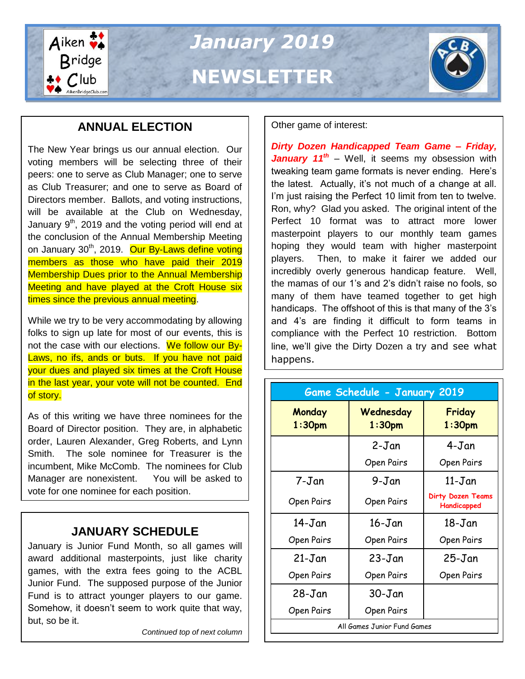

*January 2019* **NEWSLETTER**



# **ANNUAL ELECTION**

The New Year brings us our annual election. Our voting members will be selecting three of their peers: one to serve as Club Manager; one to serve as Club Treasurer; and one to serve as Board of Directors member. Ballots, and voting instructions, will be available at the Club on Wednesday, January  $9<sup>th</sup>$ , 2019 and the voting period will end at the conclusion of the Annual Membership Meeting on January 30<sup>th</sup>, 2019. Our By-Laws define voting members as those who have paid their 2019 Membership Dues prior to the Annual Membership Meeting and have played at the Croft House six times since the previous annual meeting.

While we try to be very accommodating by allowing folks to sign up late for most of our events, this is not the case with our elections. We follow our By-Laws, no ifs, ands or buts. If you have not paid your dues and played six times at the Croft House in the last year, your vote will not be counted. End of story.

As of this writing we have three nominees for the Board of Director position. They are, in alphabetic order, Lauren Alexander, Greg Roberts, and Lynn Smith. The sole nominee for Treasurer is the incumbent, Mike McComb. The nominees for Club Manager are nonexistent. You will be asked to vote for one nominee for each position.

# **JANUARY SCHEDULE**

January is Junior Fund Month, so all games will award additional masterpoints, just like charity games, with the extra fees going to the ACBL Junior Fund. The supposed purpose of the Junior Fund is to attract younger players to our game. Somehow, it doesn't seem to work quite that way,<br>. but, so be it.

*Continued top of next column*

#### Other game of interest:

*Dirty Dozen Handicapped Team Game – Friday, January 11th* – Well, it seems my obsession with tweaking team game formats is never ending. Here's the latest. Actually, it's not much of a change at all. I'm just raising the Perfect 10 limit from ten to twelve. Ron, why? Glad you asked. The original intent of the Perfect 10 format was to attract more lower masterpoint players to our monthly team games hoping they would team with higher masterpoint players. Then, to make it fairer we added our incredibly overly generous handicap feature. Well, the mamas of our 1's and 2's didn't raise no fools, so many of them have teamed together to get high handicaps. The offshoot of this is that many of the 3's and 4's are finding it difficult to form teams in compliance with the Perfect 10 restriction. Bottom line, we'll give the Dirty Dozen a try and see what happens.

| Game Schedule - January 2019 |                                 |                                         |
|------------------------------|---------------------------------|-----------------------------------------|
| Monday<br>1:30 <sub>pm</sub> | Wednesday<br>1:30 <sub>pm</sub> | Friday<br>1:30 <sub>pm</sub>            |
|                              | 2-Jan                           | 4-Jan                                   |
|                              | Open Pairs                      | Open Pairs                              |
| 7-Jan                        | 9-Jan                           | 11-Jan                                  |
| Open Pairs                   | Open Pairs                      | <b>Dirty Dozen Teams</b><br>Handicapped |
| 14-Jan                       | 16-Jan                          | $18 - Jan$                              |
| Open Pairs                   | Open Pairs                      | Open Pairs                              |
| 21-Jan                       | $23 - Jan$                      | $25 - Jan$                              |
| Open Pairs                   | Open Pairs                      | Open Pairs                              |
| 28-Jan                       | 30-Jan                          |                                         |
| Open Pairs                   | Open Pairs                      |                                         |
| All Games Junior Fund Games  |                                 |                                         |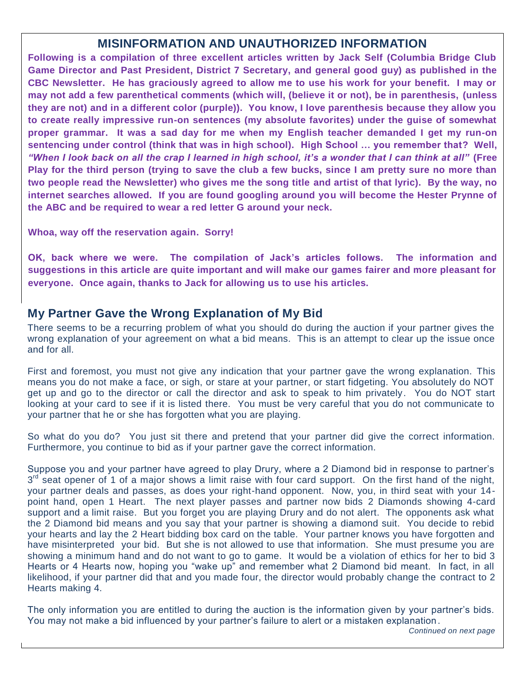## **MISINFORMATION AND UNAUTHORIZED INFORMATION**

**Following is a compilation of three excellent articles written by Jack Self (Columbia Bridge Club Game Director and Past President, District 7 Secretary, and general good guy) as published in the CBC Newsletter. He has graciously agreed to allow me to use his work for your benefit. I may or may not add a few parenthetical comments (which will, (believe it or not), be in parenthesis, (unless they are not) and in a different color (purple)). You know, I love parenthesis because they allow you to create really impressive run-on sentences (my absolute favorites) under the guise of somewhat proper grammar. It was a sad day for me when my English teacher demanded I get my run-on sentencing under control (think that was in high school). High School … you remember that? Well,**  *"When I look back on all the crap I learned in high school, it's a wonder that I can think at all"* **(Free Play for the third person (trying to save the club a few bucks, since I am pretty sure no more than two people read the Newsletter) who gives me the song title and artist of that lyric). By the way, no internet searches allowed. If you are found googling around you will become the Hester Prynne of the ABC and be required to wear a red letter G around your neck.**

**Whoa, way off the reservation again. Sorry!**

**OK, back where we were. The compilation of Jack's articles follows. The information and suggestions in this article are quite important and will make our games fairer and more pleasant for everyone. Once again, thanks to Jack for allowing us to use his articles.**

## **My Partner Gave the Wrong Explanation of My Bid**

There seems to be a recurring problem of what you should do during the auction if your partner gives the wrong explanation of your agreement on what a bid means. This is an attempt to clear up the issue once and for all.

First and foremost, you must not give any indication that your partner gave the wrong explanation. This means you do not make a face, or sigh, or stare at your partner, or start fidgeting. You absolutely do NOT get up and go to the director or call the director and ask to speak to him privately. You do NOT start looking at your card to see if it is listed there. You must be very careful that you do not communicate to your partner that he or she has forgotten what you are playing.

So what do you do? You just sit there and pretend that your partner did give the correct information. Furthermore, you continue to bid as if your partner gave the correct information.

Suppose you and your partner have agreed to play Drury, where a 2 Diamond bid in response to partner's 3<sup>rd</sup> seat opener of 1 of a major shows a limit raise with four card support. On the first hand of the night, your partner deals and passes, as does your right-hand opponent. Now, you, in third seat with your 14 point hand, open 1 Heart. The next player passes and partner now bids 2 Diamonds showing 4-card support and a limit raise. But you forget you are playing Drury and do not alert. The opponents ask what the 2 Diamond bid means and you say that your partner is showing a diamond suit. You decide to rebid your hearts and lay the 2 Heart bidding box card on the table. Your partner knows you have forgotten and have misinterpreted your bid. But she is not allowed to use that information. She must presume you are showing a minimum hand and do not want to go to game. It would be a violation of ethics for her to bid 3 Hearts or 4 Hearts now, hoping you "wake up" and remember what 2 Diamond bid meant. In fact, in all likelihood, if your partner did that and you made four, the director would probably change the contract to 2 Hearts making 4.

The only information you are entitled to during the auction is the information given by your partner's bids. You may not make a bid influenced by your partner's failure to alert or a mistaken explanation .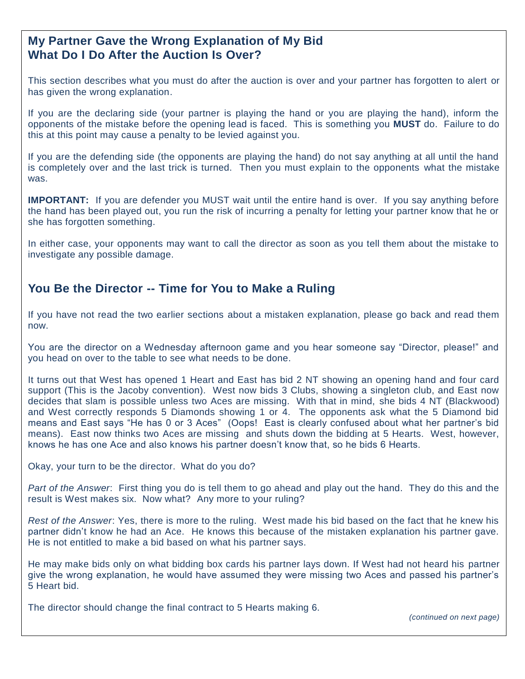### **My Partner Gave the Wrong Explanation of My Bid What Do I Do After the Auction Is Over?**

This section describes what you must do after the auction is over and your partner has forgotten to alert or has given the wrong explanation.

If you are the declaring side (your partner is playing the hand or you are playing the hand), inform the opponents of the mistake before the opening lead is faced. This is something you **MUST** do. Failure to do this at this point may cause a penalty to be levied against you.

If you are the defending side (the opponents are playing the hand) do not say anything at all until the hand is completely over and the last trick is turned. Then you must explain to the opponents what the mistake was.

**IMPORTANT:** If you are defender you MUST wait until the entire hand is over. If you say anything before the contract of the contract of the contract of the contract of the contract of the contract of the contract of the c the hand has been played out, you run the risk of incurring a penalty for letting your partner know that he or she has forgotten something.

In either case, your opponents may want to call the director as soon as you tell them about the mistake to investigate any possible damage.

### **You Be the Director -- Time for You to Make a Ruling**

If you have not read the two earlier sections about a mistaken explanation, please go back and read them now.

You are the director on a Wednesday afternoon game and you hear someone say "Director, please!" and you head on over to the table to see what needs to be done.

It turns out that West has opened 1 Heart and East has bid 2 NT showing an opening hand and four card support (This is the Jacoby convention). West now bids 3 Clubs, showing a singleton club, and East now decides that slam is possible unless two Aces are missing. With that in mind, she bids 4 NT (Blackwood) and West correctly responds 5 Diamonds showing 1 or 4. The opponents ask what the 5 Diamond bid means and East says "He has 0 or 3 Aces" (Oops! East is clearly confused about what her partner's bid means). East now thinks two Aces are missing and shuts down the bidding at 5 Hearts. West, however, knows he has one Ace and also knows his partner doesn't know that, so he bids 6 Hearts.

Okay, your turn to be the director. What do you do?

*Part of the Answer*: First thing you do is tell them to go ahead and play out the hand. They do this and the result is West makes six. Now what? Any more to your ruling?

*Rest of the Answer*: Yes, there is more to the ruling. West made his bid based on the fact that he knew his partner didn't know he had an Ace. He knows this because of the mistaken explanation his partner gave. He is not entitled to make a bid based on what his partner says.

**Falling Down Bridge** give the wrong explanation, he would have assumed they were missing two Aces and passed his partner's He may make bids only on what bidding box cards his partner lays down. If West had not heard his partner 5 Heart bid.

The director should change the final contract to 5 Hearts making 6.

*(continued on next page)*